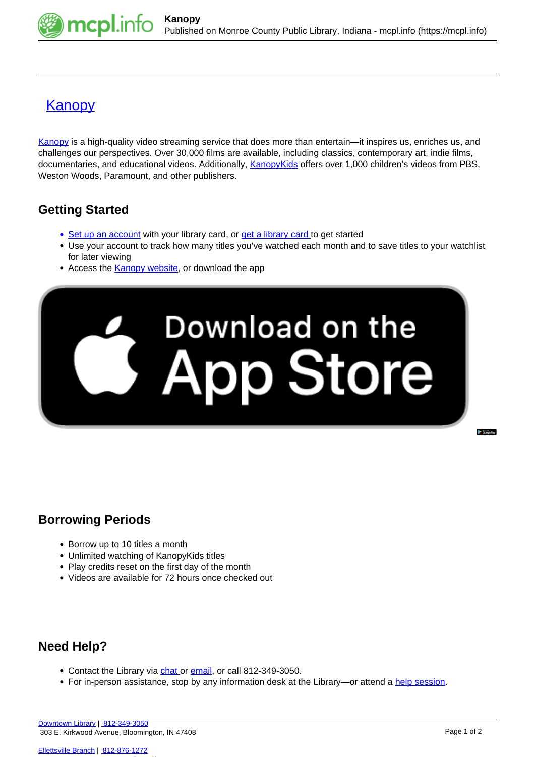

## [Kanopy](https://mcpl.info/resources/kanopy)

[Kanopy](https://mcpl.kanopy.com/) is a high-quality video streaming service that does more than entertain—it inspires us, enriches us, and challenges our perspectives. Over 30,000 films are available, including classics, contemporary art, indie films, documentaries, and educational videos. Additionally, [KanopyKids](https://mcpl.kanopy.com/kids) offers over 1,000 children's videos from PBS, Weston Woods, Paramount, and other publishers.

## **Getting Started**

- [Set up an account](https://mcpl.kanopy.com/) with your library card, or [get a library card t](https://mcpl.monroe.lib.in.us/patronaccount/selfregister.aspx)o get started
- Use your account to track how many titles you've watched each month and to save titles to your watchlist for later viewing
- Access the **[Kanopy website](https://mcpl.kanopy.com/)**, or download the app



## **Borrowing Periods**

- Borrow up to 10 titles a month
- Unlimited watching of KanopyKids titles
- Play credits reset on the first day of the month
- Videos are available for 72 hours once checked out

## **Need Help?**

- Contact the Library via [chat](http://mcpl.info/chat) or [email,](http://mcpl.info/adultservices/ask-librarian-monroe-county-public-library) or call 812-349-3050.
- For in-person assistance, stop by any information desk at the Library—or attend a [help session.](https://mcpl.info/infosys/free-help-your-laptops-and-gadgets)